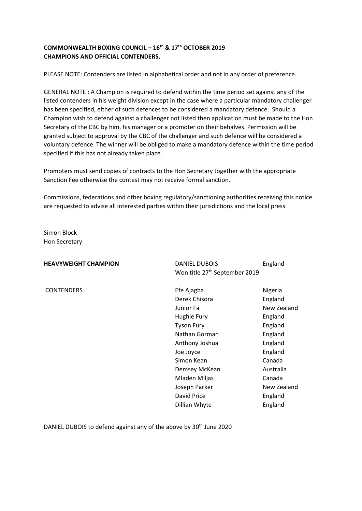# **COMMONWEALTH BOXING COUNCIL – 16th & 17th OCTOBER 2019 CHAMPIONS AND OFFICIAL CONTENDERS.**

PLEASE NOTE: Contenders are listed in alphabetical order and not in any order of preference.

GENERAL NOTE : A Champion is required to defend within the time period set against any of the listed contenders in his weight division except in the case where a particular mandatory challenger has been specified, either of such defences to be considered a mandatory defence. Should a Champion wish to defend against a challenger not listed then application must be made to the Hon Secretary of the CBC by him, his manager or a promoter on their behalves. Permission will be granted subject to approval by the CBC of the challenger and such defence will be considered a voluntary defence. The winner will be obliged to make a mandatory defence within the time period specified if this has not already taken place.

Promoters must send copies of contracts to the Hon Secretary together with the appropriate Sanction Fee otherwise the contest may not receive formal sanction.

Commissions, federations and other boxing regulatory/sanctioning authorities receiving this notice are requested to advise all interested parties within their jurisdictions and the local press

Simon Block Hon Secretary

| <b>HEAVYWEIGHT CHAMPION</b> | <b>DANIEL DUBOIS</b>                      | England     |
|-----------------------------|-------------------------------------------|-------------|
|                             | Won title 27 <sup>th</sup> September 2019 |             |
| <b>CONTENDERS</b>           | Efe Ajagba                                | Nigeria     |
|                             | Derek Chisora                             | England     |
|                             | Junior Fa                                 | New Zealand |
|                             | Hughie Fury                               | England     |
|                             | <b>Tyson Fury</b>                         | England     |
|                             | Nathan Gorman                             | England     |
|                             | Anthony Joshua                            | England     |
|                             | Joe Joyce                                 | England     |
|                             | Simon Kean                                | Canada      |
|                             | Demsey McKean                             | Australia   |
|                             | Mladen Miljas                             | Canada      |
|                             | Joseph Parker                             | New Zealand |
|                             | David Price                               | England     |
|                             | Dillian Whyte                             | England     |
|                             |                                           |             |

DANIEL DUBOIS to defend against any of the above by 30<sup>th</sup> June 2020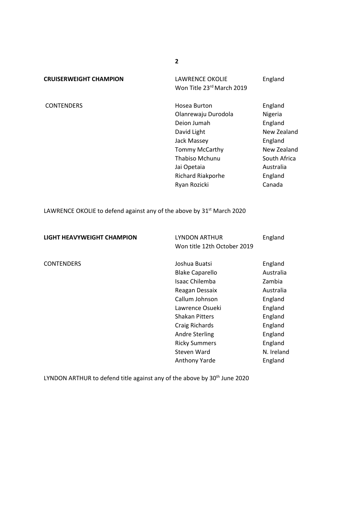**CRUISERWEIGHT CHAMPION** LAWRENCE OKOLIE England

Won Title 23rd March 2019

CONTENDERS **Hosea Burton** England Olanrewaju Durodola Nigeria Deion Jumah **England** David Light New Zealand Jack Massey **England** Tommy McCarthy New Zealand Thabiso Mchunu South Africa Jai Opetaia **Australia** Richard Riakporhe England Ryan Rozicki Canada

LAWRENCE OKOLIE to defend against any of the above by 31<sup>st</sup> March 2020

| LIGHT HEAVYWEIGHT CHAMPION | LYNDON ARTHUR<br>Won title 12th October 2019                                                                                                                | England                                                                                 |
|----------------------------|-------------------------------------------------------------------------------------------------------------------------------------------------------------|-----------------------------------------------------------------------------------------|
| <b>CONTENDERS</b>          | Joshua Buatsi<br><b>Blake Caparello</b><br>Isaac Chilemba<br>Reagan Dessaix<br>Callum Johnson<br>Lawrence Osueki<br><b>Shakan Pitters</b><br>Craig Richards | England<br>Australia<br>Zambia<br>Australia<br>England<br>England<br>England<br>England |
|                            | <b>Andre Sterling</b><br><b>Ricky Summers</b><br>Steven Ward<br><b>Anthony Yarde</b>                                                                        | England<br>England<br>N. Ireland<br>England                                             |

LYNDON ARTHUR to defend title against any of the above by 30<sup>th</sup> June 2020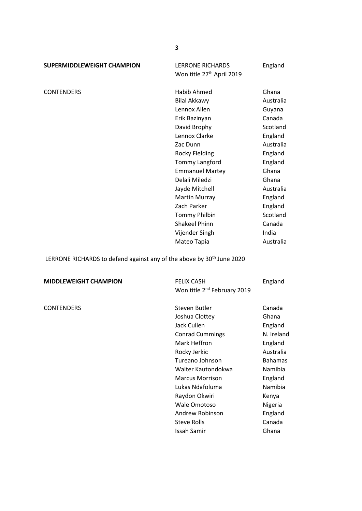**SUPERMIDDLEWEIGHT CHAMPION** LERRONE RICHARDS England

Won title 27<sup>th</sup> April 2019

CONTENDERS Habib Ahmed Ghana Bilal Akkawy **Australia** Lennox Allen Guyana Erik Bazinyan Canada David Brophy Scotland Lennox Clarke England Zac Dunn Australia Rocky Fielding **England** Tommy Langford England Emmanuel Martey Ghana Delali Miledzi **Ghana** Jayde Mitchell **Australia** Martin Murray **England** Zach Parker England Tommy Philbin Scotland Shakeel Phinn Canada Vijender Singh **India** Mateo Tapia **Australia** 

LERRONE RICHARDS to defend against any of the above by 30<sup>th</sup> June 2020

### **MIDDLEWEIGHT CHAMPION** FELIX CASH England

Won title 2<sup>nd</sup> February 2019 CONTENDERS **Steven Butler** Canada Joshua Clottey **Ghana** Jack Cullen **England** Conrad Cummings N. Ireland Mark Heffron England Rocky Jerkic **Australia** Tureano Johnson Bahamas Walter Kautondokwa Namibia Marcus Morrison **England** Lukas Ndafoluma Mamibia Raydon Okwiri Kenya Wale Omotoso Nigeria Andrew Robinson England Steve Rolls **Canada** Issah Samir Ghana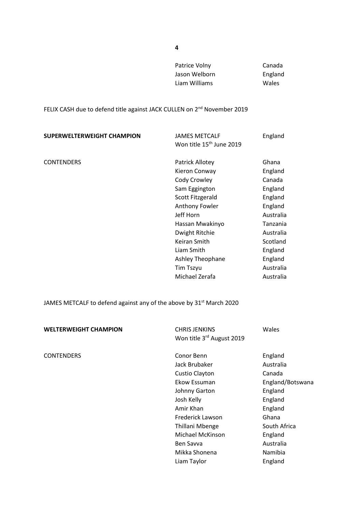Patrice Volny Canada Jason Welborn **England** Liam Williams Wales

FELIX CASH due to defend title against JACK CULLEN on 2<sup>nd</sup> November 2019

| SUPERWELTERWEIGHT CHAMPION | JAMES METCALF                        | England   |
|----------------------------|--------------------------------------|-----------|
|                            | Won title 15 <sup>th</sup> June 2019 |           |
| <b>CONTENDERS</b>          | Patrick Allotey                      | Ghana     |
|                            | Kieron Conway                        | England   |
|                            | Cody Crowley                         | Canada    |
|                            | Sam Eggington                        | England   |
|                            | Scott Fitzgerald                     | England   |
|                            | <b>Anthony Fowler</b>                | England   |
|                            | Jeff Horn                            | Australia |
|                            | Hassan Mwakinyo                      | Tanzania  |
|                            | Dwight Ritchie                       | Australia |
|                            | Keiran Smith                         | Scotland  |
|                            | Liam Smith                           | England   |
|                            | Ashley Theophane                     | England   |
|                            | Tim Tszyu                            | Australia |
|                            | Michael Zerafa                       | Australia |

JAMES METCALF to defend against any of the above by  $31^{st}$  March 2020

| <b>WELTERWEIGHT CHAMPION</b> | <b>CHRIS JENKINS</b><br>Won title 3rd August 2019                                                                                                                                                                 | Wales                                                                                                                                                      |
|------------------------------|-------------------------------------------------------------------------------------------------------------------------------------------------------------------------------------------------------------------|------------------------------------------------------------------------------------------------------------------------------------------------------------|
| <b>CONTENDERS</b>            | Conor Benn<br>Jack Brubaker<br>Custio Clayton<br>Ekow Essuman<br>Johnny Garton<br>Josh Kelly<br>Amir Khan<br>Frederick Lawson<br>Thillani Mbenge<br>Michael McKinson<br>Ben Savva<br>Mikka Shonena<br>Liam Taylor | England<br>Australia<br>Canada<br>England/Botswana<br>England<br>England<br>England<br>Ghana<br>South Africa<br>England<br>Australia<br>Namibia<br>England |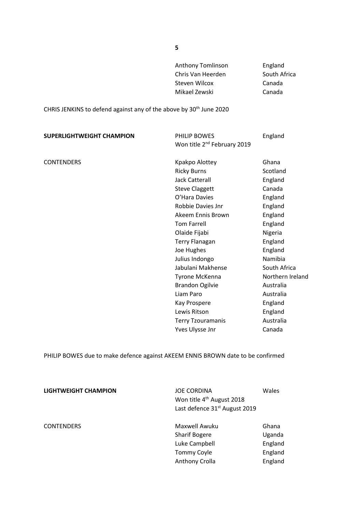| <b>Anthony Tomlinson</b> | England      |
|--------------------------|--------------|
| Chris Van Heerden        | South Africa |
| Steven Wilcox            | Canada       |
| Mikael Zewski            | Canada       |
|                          |              |

CHRIS JENKINS to defend against any of the above by 30th June 2020

| <b>SUPERLIGHTWEIGHT CHAMPION</b> | PHILIP BOWES<br>Won title 2 <sup>nd</sup> February 2019 | England          |
|----------------------------------|---------------------------------------------------------|------------------|
| <b>CONTENDERS</b>                | Kpakpo Alottey                                          | Ghana            |
|                                  |                                                         | Scotland         |
|                                  | <b>Ricky Burns</b>                                      |                  |
|                                  | <b>Jack Catterall</b>                                   | England          |
|                                  | <b>Steve Claggett</b>                                   | Canada           |
|                                  | O'Hara Davies                                           | England          |
|                                  | Robbie Davies Jnr                                       | England          |
|                                  | Akeem Ennis Brown                                       | England          |
|                                  | <b>Tom Farrell</b>                                      | England          |
|                                  | Olaide Fijabi                                           | Nigeria          |
|                                  | <b>Terry Flanagan</b>                                   | England          |
|                                  | Joe Hughes                                              | England          |
|                                  | Julius Indongo                                          | Namibia          |
|                                  | Jabulani Makhense                                       | South Africa     |
|                                  | Tyrone McKenna                                          | Northern Ireland |
|                                  | <b>Brandon Ogilvie</b>                                  | Australia        |
|                                  | Liam Paro                                               | Australia        |
|                                  | Kay Prospere                                            | England          |
|                                  | Lewis Ritson                                            | England          |
|                                  | <b>Terry Tzouramanis</b>                                | Australia        |
|                                  | Yves Ulysse Jnr                                         | Canada           |

PHILIP BOWES due to make defence against AKEEM ENNIS BROWN date to be confirmed

| LIGHTWEIGHT CHAMPION | <b>JOE CORDINA</b><br>Won title 4 <sup>th</sup> August 2018<br>Last defence 31 <sup>st</sup> August 2019 | Wales   |
|----------------------|----------------------------------------------------------------------------------------------------------|---------|
| <b>CONTENDERS</b>    | Maxwell Awuku                                                                                            | Ghana   |
|                      | <b>Sharif Bogere</b>                                                                                     | Uganda  |
|                      | Luke Campbell                                                                                            | England |
|                      | <b>Tommy Coyle</b>                                                                                       | England |
|                      | Anthony Crolla                                                                                           | England |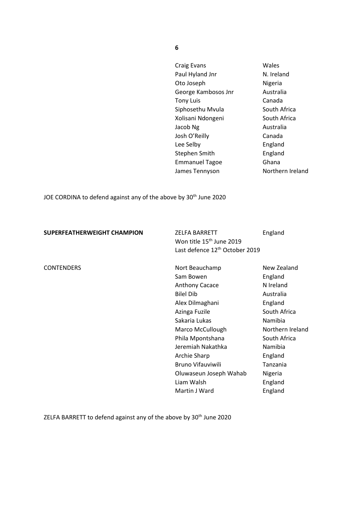Craig Evans Wales Paul Hyland Jnr N. Ireland Oto Joseph Nigeria George Kambosos Jnr Australia Tony Luis Canada Siphosethu Mvula South Africa Xolisani Ndongeni South Africa Jacob Ng **Australia** Josh O'Reilly Canada Lee Selby **England** Stephen Smith England Emmanuel Tagoe Ghana James Tennyson Northern Ireland

JOE CORDINA to defend against any of the above by 30<sup>th</sup> June 2020

| SUPERFEATHERWEIGHT CHAMPION | ZELFA BARRETT                              | England |
|-----------------------------|--------------------------------------------|---------|
|                             | Won title 15 <sup>th</sup> June 2019       |         |
|                             | Last defence 12 <sup>th</sup> October 2019 |         |
|                             |                                            |         |

CONTENDERS Nort Beauchamp New Zealand Sam Bowen **England** Anthony Cacace N Ireland Bilel Dib Australia Alex Dilmaghani England Azinga Fuzile South Africa Sakaria Lukas Namibia Marco McCullough Northern Ireland Phila Mpontshana South Africa Jeremiah Nakathka Namibia Archie Sharp **England** Bruno Vifauviwili **Tanzania** Oluwaseun Joseph Wahab Nigeria Liam Walsh England Martin J Ward **England** 

ZELFA BARRETT to defend against any of the above by 30<sup>th</sup> June 2020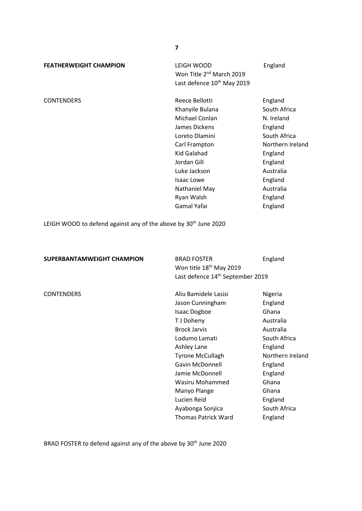**FEATHERWEIGHT CHAMPION** LEIGH WOOD England Mon Title 2<sup>nd</sup> March 2019 Last defence 10<sup>th</sup> May 2019

CONTENDERS Reece Bellotti England Khanyile Bulana South Africa Michael Conlan N. Ireland James Dickens **England** Loreto Dlamini South Africa Carl Frampton Northern Ireland Kid Galahad **England** Jordan Gill **England** Luke Jackson Australia Isaac Lowe **England** Nathaniel May **Australia** Ryan Walsh England Gamal Yafai **England** 

> Ayabonga Sonjica South Africa Thomas Patrick Ward England

LEIGH WOOD to defend against any of the above by 30<sup>th</sup> June 2020

| SUPERBANTAMWEIGHT CHAMPION | <b>BRAD FOSTER</b><br>Won title 18 <sup>th</sup> May 2019<br>Last defence 14 <sup>th</sup> September 2019 | England          |
|----------------------------|-----------------------------------------------------------------------------------------------------------|------------------|
| <b>CONTENDERS</b>          | Aliu Bamidele Lasisi                                                                                      | Nigeria          |
|                            | Jason Cunningham                                                                                          | England          |
|                            | <b>Isaac Dogboe</b>                                                                                       | Ghana            |
|                            | T J Doheny                                                                                                | Australia        |
|                            | <b>Brock Jarvis</b>                                                                                       | Australia        |
|                            | Lodumo Lamati                                                                                             | South Africa     |
|                            | Ashley Lane                                                                                               | England          |
|                            | <b>Tyrone McCullagh</b>                                                                                   | Northern Ireland |
|                            | <b>Gavin McDonnell</b>                                                                                    | England          |
|                            | Jamie McDonnell                                                                                           | England          |
|                            | Wasiru Mohammed                                                                                           | Ghana            |
|                            | Manyo Plange                                                                                              | Ghana            |
|                            | Lucien Reid                                                                                               | England          |

BRAD FOSTER to defend against any of the above by 30<sup>th</sup> June 2020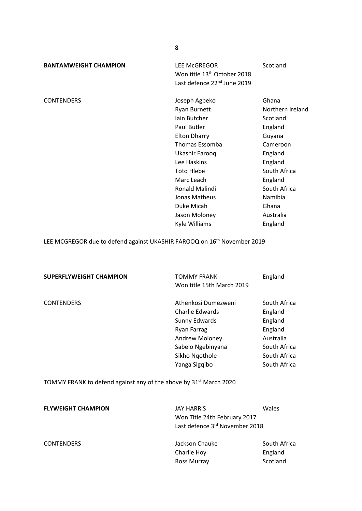**BANTAMWEIGHT CHAMPION** LEE McGREGOR Scotland Won title 13<sup>th</sup> October 2018 Last defence 22<sup>nd</sup> June 2019

CONTENDERS Joseph Agbeko Ghana Ryan Burnett Northern Ireland Iain Butcher Scotland Paul Butler **England** Elton Dharry Guyana Thomas Essomba Cameroon Ukashir Farooq **England** Lee Haskins **England** Toto Hlebe South Africa Marc Leach England Ronald Malindi South Africa Jonas Matheus **Namibia** Duke Micah Ghana Jason Moloney **Australia** Kyle Williams England

LEE MCGREGOR due to defend against UKASHIR FAROOQ on 16<sup>th</sup> November 2019

| <b>SUPERFLYWEIGHT CHAMPION</b>                                                | TOMMY FRANK<br>Won title 15th March 2019                                                                                                                | England                                                                                                    |
|-------------------------------------------------------------------------------|---------------------------------------------------------------------------------------------------------------------------------------------------------|------------------------------------------------------------------------------------------------------------|
| <b>CONTENDERS</b>                                                             | Athenkosi Dumezweni<br>Charlie Edwards<br>Sunny Edwards<br><b>Ryan Farrag</b><br>Andrew Moloney<br>Sabelo Ngebinyana<br>Sikho Ngothole<br>Yanga Sigqibo | South Africa<br>England<br>England<br>England<br>Australia<br>South Africa<br>South Africa<br>South Africa |
| TOMMY FRANK to defend against any of the above by 31 <sup>st</sup> March 2020 |                                                                                                                                                         |                                                                                                            |

| <b>FLYWEIGHT CHAMPION</b> | <b>JAY HARRIS</b><br>Won Title 24th February 2017<br>Last defence 3rd November 2018 | Wales                               |
|---------------------------|-------------------------------------------------------------------------------------|-------------------------------------|
| <b>CONTENDERS</b>         | Jackson Chauke<br>Charlie Hoy<br>Ross Murray                                        | South Africa<br>England<br>Scotland |